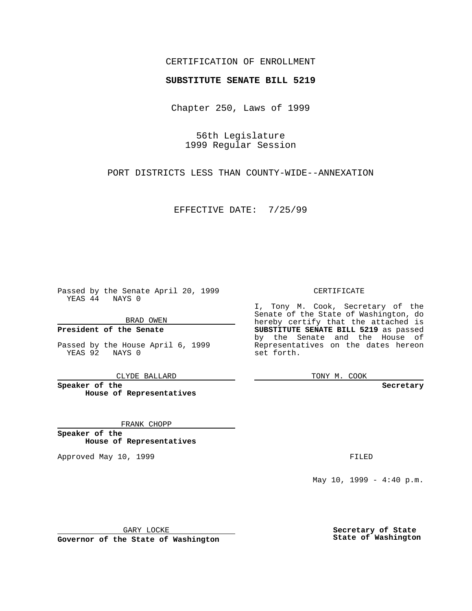## CERTIFICATION OF ENROLLMENT

# **SUBSTITUTE SENATE BILL 5219**

Chapter 250, Laws of 1999

56th Legislature 1999 Regular Session

PORT DISTRICTS LESS THAN COUNTY-WIDE--ANNEXATION

EFFECTIVE DATE: 7/25/99

Passed by the Senate April 20, 1999 YEAS 44 NAYS 0

BRAD OWEN

**President of the Senate**

Passed by the House April 6, 1999 YEAS 92 NAYS 0

CLYDE BALLARD

**Speaker of the House of Representatives**

FRANK CHOPP

**Speaker of the House of Representatives**

Approved May 10, 1999 **FILED** 

### CERTIFICATE

I, Tony M. Cook, Secretary of the Senate of the State of Washington, do hereby certify that the attached is **SUBSTITUTE SENATE BILL 5219** as passed by the Senate and the House of Representatives on the dates hereon set forth.

TONY M. COOK

#### **Secretary**

May 10, 1999 - 4:40 p.m.

GARY LOCKE

**Governor of the State of Washington**

**Secretary of State State of Washington**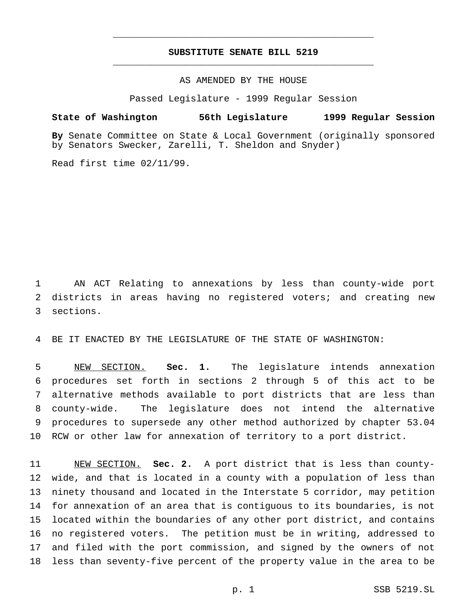## **SUBSTITUTE SENATE BILL 5219** \_\_\_\_\_\_\_\_\_\_\_\_\_\_\_\_\_\_\_\_\_\_\_\_\_\_\_\_\_\_\_\_\_\_\_\_\_\_\_\_\_\_\_\_\_\_\_

\_\_\_\_\_\_\_\_\_\_\_\_\_\_\_\_\_\_\_\_\_\_\_\_\_\_\_\_\_\_\_\_\_\_\_\_\_\_\_\_\_\_\_\_\_\_\_

### AS AMENDED BY THE HOUSE

Passed Legislature - 1999 Regular Session

#### **State of Washington 56th Legislature 1999 Regular Session**

**By** Senate Committee on State & Local Government (originally sponsored by Senators Swecker, Zarelli, T. Sheldon and Snyder)

Read first time 02/11/99.

 AN ACT Relating to annexations by less than county-wide port districts in areas having no registered voters; and creating new sections.

BE IT ENACTED BY THE LEGISLATURE OF THE STATE OF WASHINGTON:

 NEW SECTION. **Sec. 1.** The legislature intends annexation procedures set forth in sections 2 through 5 of this act to be alternative methods available to port districts that are less than county-wide. The legislature does not intend the alternative procedures to supersede any other method authorized by chapter 53.04 RCW or other law for annexation of territory to a port district.

 NEW SECTION. **Sec. 2.** A port district that is less than county- wide, and that is located in a county with a population of less than ninety thousand and located in the Interstate 5 corridor, may petition for annexation of an area that is contiguous to its boundaries, is not located within the boundaries of any other port district, and contains no registered voters. The petition must be in writing, addressed to and filed with the port commission, and signed by the owners of not less than seventy-five percent of the property value in the area to be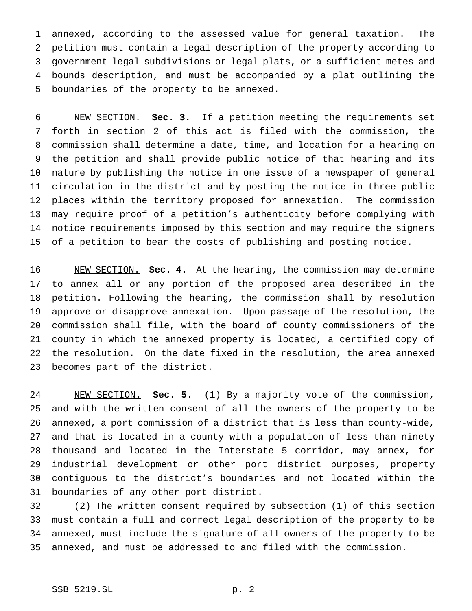annexed, according to the assessed value for general taxation. The petition must contain a legal description of the property according to government legal subdivisions or legal plats, or a sufficient metes and bounds description, and must be accompanied by a plat outlining the boundaries of the property to be annexed.

 NEW SECTION. **Sec. 3.** If a petition meeting the requirements set forth in section 2 of this act is filed with the commission, the commission shall determine a date, time, and location for a hearing on the petition and shall provide public notice of that hearing and its nature by publishing the notice in one issue of a newspaper of general circulation in the district and by posting the notice in three public places within the territory proposed for annexation. The commission may require proof of a petition's authenticity before complying with notice requirements imposed by this section and may require the signers of a petition to bear the costs of publishing and posting notice.

 NEW SECTION. **Sec. 4.** At the hearing, the commission may determine to annex all or any portion of the proposed area described in the petition. Following the hearing, the commission shall by resolution approve or disapprove annexation. Upon passage of the resolution, the commission shall file, with the board of county commissioners of the county in which the annexed property is located, a certified copy of the resolution. On the date fixed in the resolution, the area annexed becomes part of the district.

 NEW SECTION. **Sec. 5.** (1) By a majority vote of the commission, and with the written consent of all the owners of the property to be annexed, a port commission of a district that is less than county-wide, and that is located in a county with a population of less than ninety thousand and located in the Interstate 5 corridor, may annex, for industrial development or other port district purposes, property contiguous to the district's boundaries and not located within the boundaries of any other port district.

 (2) The written consent required by subsection (1) of this section must contain a full and correct legal description of the property to be annexed, must include the signature of all owners of the property to be annexed, and must be addressed to and filed with the commission.